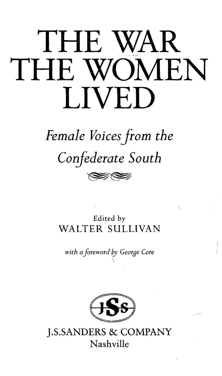# THE WAR THE WOMEN **LIVED**

## Female Voices from the Confederate South

 $\gg$ 

Edited by WALTER SULLIVAN

with a foreword by George Core



**J.S.SANDERS & COMPANY** Nashville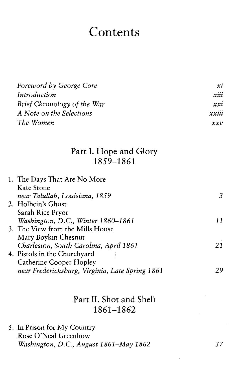### Contents

| Foreword by George Core     | xi    |
|-----------------------------|-------|
| Introduction                | xiii  |
| Brief Chronology of the War | xxi   |
| A Note on the Selections    | xxiii |
| The Women                   | xxv   |

#### Part I. Hope and Glory 1859-1861

| 1. The Days That Are No More                    |    |
|-------------------------------------------------|----|
| Kate Stone                                      |    |
| near Talullah, Louisiana, 1859                  |    |
| 2. Holbein's Ghost                              |    |
| Sarah Rice Pryor                                |    |
| Washington, D.C., Winter 1860-1861              | 11 |
| 3. The View from the Mills House                |    |
| Mary Boykin Chesnut                             |    |
| Charleston, South Carolina, April 1861          | 21 |
| 4. Pistols in the Churchyard                    |    |
| Catherine Cooper Hopley                         |    |
| near Fredericksburg, Virginia, Late Spring 1861 |    |
|                                                 |    |

#### Part II. Shot and Shell 1861-1862

5. In Prison for My Country Rose O'Neal Greenhow *Washington, D.C, August 1861-May 1862 37*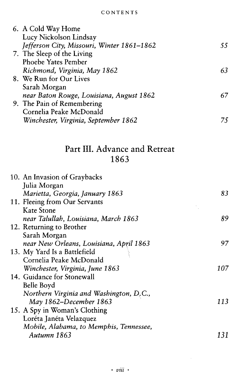| 6. A Cold Way Home                         |    |
|--------------------------------------------|----|
| Lucy Nickolson Lindsay                     |    |
| Jefferson City, Missouri, Winter 1861-1862 | 55 |
| 7. The Sleep of the Living                 |    |
| Phoebe Yates Pember                        |    |
| Richmond, Virginia, May 1862               | 63 |
| 8. We Run for Our Lives                    |    |
| Sarah Morgan                               |    |
| near Baton Rouge, Louisiana, August 1862   | 67 |
| 9. The Pain of Remembering                 |    |
| Cornelia Peake McDonald                    |    |
| Winchester, Virginia, September 1862       | 75 |
|                                            |    |

#### Part III. Advance and Retreat 1863

| 10. An Invasion of Graybacks            |     |
|-----------------------------------------|-----|
| Julia Morgan                            |     |
| Marietta, Georgia, January 1863         | 83  |
| 11. Fleeing from Our Servants           |     |
| Kate Stone                              |     |
| near Talullah, Louisiana, March 1863    | 89  |
| 12. Returning to Brother                |     |
| Sarah Morgan                            |     |
| near New Orleans, Louisiana, April 1863 | 97  |
| 13. My Yard Is a Battlefield            |     |
| Cornelia Peake McDonald                 |     |
| Winchester, Virginia, June 1863         | 107 |
| 14. Guidance for Stonewall              |     |
| Belle Boyd                              |     |
| Northern Virginia and Washington, D.C., |     |
| May 1862-December 1863                  | 113 |
| 15. A Spy in Woman's Clothing           |     |
| Loréta Janéta Velazquez                 |     |
| Mobile, Alabama, to Memphis, Tennessee, |     |
| Autumn 1863                             | 131 |
|                                         |     |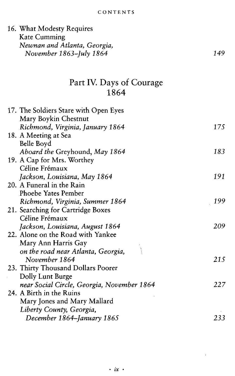| Kate Cumming<br>Newnan and Atlanta, Georgia,<br>149<br>November 1863–July 1864<br>Part IV. Days of Courage<br>1864<br>17. The Soldiers Stare with Open Eyes<br>Mary Boykin Chestnut<br>Richmond, Virginia, January 1864<br>175<br>18. A Meeting at Sea<br>Belle Boyd<br>183<br>Aboard the Greyhound, May 1864<br>19. A Cap for Mrs. Worthey<br>Céline Frémaux<br>191<br>Jackson, Louisiana, May 1864<br>20. A Funeral in the Rain<br>Phoebe Yates Pember<br>199<br>Richmond, Virginia, Summer 1864<br>21. Searching for Cartridge Boxes<br>Céline Frémaux<br>Jackson, Louisiana, August 1864<br>209<br>22. Alone on the Road with Yankee<br>Mary Ann Harris Gay<br>$\frac{1}{2}$<br>on the road near Atlanta, Georgia,<br>November 1864<br>215<br>23. Thirty Thousand Dollars Poorer<br>Dolly Lunt Burge<br>near Social Circle, Georgia, November 1864<br>227<br>24. A Birth in the Ruins<br>Mary Jones and Mary Mallard<br>Liberty County, Georgia,<br>233 | 16. What Modesty Requires  |  |
|-------------------------------------------------------------------------------------------------------------------------------------------------------------------------------------------------------------------------------------------------------------------------------------------------------------------------------------------------------------------------------------------------------------------------------------------------------------------------------------------------------------------------------------------------------------------------------------------------------------------------------------------------------------------------------------------------------------------------------------------------------------------------------------------------------------------------------------------------------------------------------------------------------------------------------------------------------------|----------------------------|--|
|                                                                                                                                                                                                                                                                                                                                                                                                                                                                                                                                                                                                                                                                                                                                                                                                                                                                                                                                                             |                            |  |
|                                                                                                                                                                                                                                                                                                                                                                                                                                                                                                                                                                                                                                                                                                                                                                                                                                                                                                                                                             |                            |  |
|                                                                                                                                                                                                                                                                                                                                                                                                                                                                                                                                                                                                                                                                                                                                                                                                                                                                                                                                                             |                            |  |
|                                                                                                                                                                                                                                                                                                                                                                                                                                                                                                                                                                                                                                                                                                                                                                                                                                                                                                                                                             |                            |  |
|                                                                                                                                                                                                                                                                                                                                                                                                                                                                                                                                                                                                                                                                                                                                                                                                                                                                                                                                                             |                            |  |
|                                                                                                                                                                                                                                                                                                                                                                                                                                                                                                                                                                                                                                                                                                                                                                                                                                                                                                                                                             |                            |  |
|                                                                                                                                                                                                                                                                                                                                                                                                                                                                                                                                                                                                                                                                                                                                                                                                                                                                                                                                                             |                            |  |
|                                                                                                                                                                                                                                                                                                                                                                                                                                                                                                                                                                                                                                                                                                                                                                                                                                                                                                                                                             |                            |  |
|                                                                                                                                                                                                                                                                                                                                                                                                                                                                                                                                                                                                                                                                                                                                                                                                                                                                                                                                                             |                            |  |
|                                                                                                                                                                                                                                                                                                                                                                                                                                                                                                                                                                                                                                                                                                                                                                                                                                                                                                                                                             |                            |  |
|                                                                                                                                                                                                                                                                                                                                                                                                                                                                                                                                                                                                                                                                                                                                                                                                                                                                                                                                                             |                            |  |
|                                                                                                                                                                                                                                                                                                                                                                                                                                                                                                                                                                                                                                                                                                                                                                                                                                                                                                                                                             |                            |  |
|                                                                                                                                                                                                                                                                                                                                                                                                                                                                                                                                                                                                                                                                                                                                                                                                                                                                                                                                                             |                            |  |
|                                                                                                                                                                                                                                                                                                                                                                                                                                                                                                                                                                                                                                                                                                                                                                                                                                                                                                                                                             |                            |  |
|                                                                                                                                                                                                                                                                                                                                                                                                                                                                                                                                                                                                                                                                                                                                                                                                                                                                                                                                                             |                            |  |
|                                                                                                                                                                                                                                                                                                                                                                                                                                                                                                                                                                                                                                                                                                                                                                                                                                                                                                                                                             |                            |  |
|                                                                                                                                                                                                                                                                                                                                                                                                                                                                                                                                                                                                                                                                                                                                                                                                                                                                                                                                                             |                            |  |
|                                                                                                                                                                                                                                                                                                                                                                                                                                                                                                                                                                                                                                                                                                                                                                                                                                                                                                                                                             |                            |  |
|                                                                                                                                                                                                                                                                                                                                                                                                                                                                                                                                                                                                                                                                                                                                                                                                                                                                                                                                                             |                            |  |
|                                                                                                                                                                                                                                                                                                                                                                                                                                                                                                                                                                                                                                                                                                                                                                                                                                                                                                                                                             |                            |  |
|                                                                                                                                                                                                                                                                                                                                                                                                                                                                                                                                                                                                                                                                                                                                                                                                                                                                                                                                                             |                            |  |
|                                                                                                                                                                                                                                                                                                                                                                                                                                                                                                                                                                                                                                                                                                                                                                                                                                                                                                                                                             |                            |  |
|                                                                                                                                                                                                                                                                                                                                                                                                                                                                                                                                                                                                                                                                                                                                                                                                                                                                                                                                                             |                            |  |
|                                                                                                                                                                                                                                                                                                                                                                                                                                                                                                                                                                                                                                                                                                                                                                                                                                                                                                                                                             |                            |  |
|                                                                                                                                                                                                                                                                                                                                                                                                                                                                                                                                                                                                                                                                                                                                                                                                                                                                                                                                                             |                            |  |
|                                                                                                                                                                                                                                                                                                                                                                                                                                                                                                                                                                                                                                                                                                                                                                                                                                                                                                                                                             |                            |  |
|                                                                                                                                                                                                                                                                                                                                                                                                                                                                                                                                                                                                                                                                                                                                                                                                                                                                                                                                                             |                            |  |
|                                                                                                                                                                                                                                                                                                                                                                                                                                                                                                                                                                                                                                                                                                                                                                                                                                                                                                                                                             |                            |  |
|                                                                                                                                                                                                                                                                                                                                                                                                                                                                                                                                                                                                                                                                                                                                                                                                                                                                                                                                                             |                            |  |
|                                                                                                                                                                                                                                                                                                                                                                                                                                                                                                                                                                                                                                                                                                                                                                                                                                                                                                                                                             |                            |  |
|                                                                                                                                                                                                                                                                                                                                                                                                                                                                                                                                                                                                                                                                                                                                                                                                                                                                                                                                                             |                            |  |
|                                                                                                                                                                                                                                                                                                                                                                                                                                                                                                                                                                                                                                                                                                                                                                                                                                                                                                                                                             |                            |  |
|                                                                                                                                                                                                                                                                                                                                                                                                                                                                                                                                                                                                                                                                                                                                                                                                                                                                                                                                                             |                            |  |
|                                                                                                                                                                                                                                                                                                                                                                                                                                                                                                                                                                                                                                                                                                                                                                                                                                                                                                                                                             | December 1864–January 1865 |  |

 $\cdot$